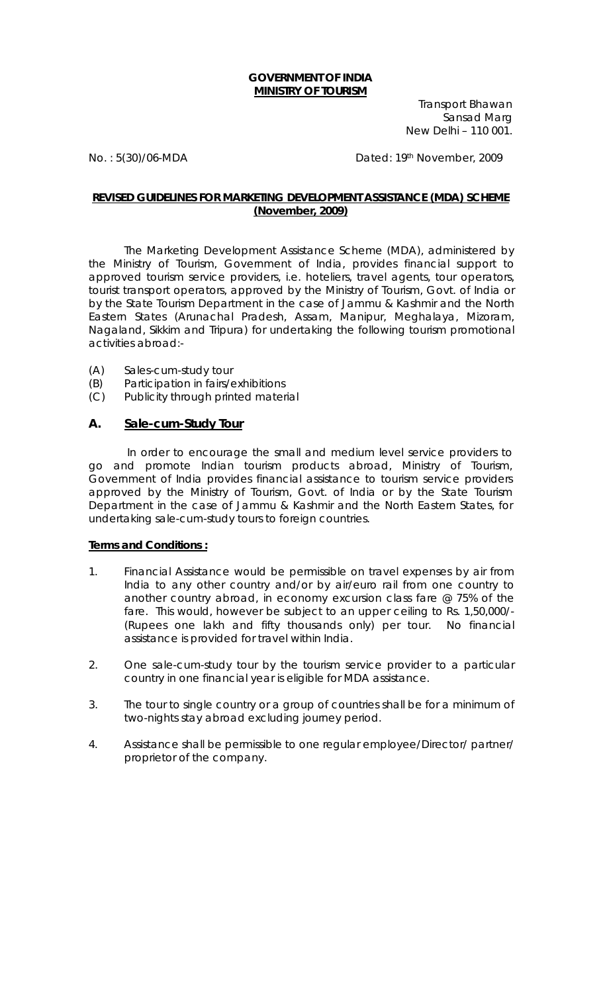## **GOVERNMENT OF INDIA MINISTRY OF TOURISM**

Transport Bhawan Sansad Marg New Delhi – 110 001.

No. : 5(30)/06-MDA Dated: 19th November, 2009

## **REVISED GUIDELINES FOR MARKETING DEVELOPMENT ASSISTANCE (MDA) SCHEME (November, 2009)**

 The Marketing Development Assistance Scheme (MDA), administered by the Ministry of Tourism, Government of India, provides financial support to approved tourism service providers, i.e. hoteliers, travel agents, tour operators, tourist transport operators, approved by the Ministry of Tourism, Govt. of India or by the State Tourism Department in the case of Jammu & Kashmir and the North Eastern States (Arunachal Pradesh, Assam, Manipur, Meghalaya, Mizoram, Nagaland, Sikkim and Tripura) for undertaking the following tourism promotional activities abroad:-

- (A) Sales-cum-study tour
- (B) Participation in fairs/exhibitions
- (C) Publicity through printed material

## **A. Sale-cum-Study Tour**

 In order to encourage the small and medium level service providers to go and promote Indian tourism products abroad, Ministry of Tourism, Government of India provides financial assistance to tourism service providers approved by the Ministry of Tourism, Govt. of India or by the State Tourism Department in the case of Jammu & Kashmir and the North Eastern States, for undertaking sale-cum-study tours to foreign countries.

## **Terms and Conditions :**

- 1. Financial Assistance would be permissible on travel expenses by air from India to any other country and/or by air/euro rail from one country to another country abroad, in economy excursion class fare @ 75% of the fare. This would, however be subject to an upper ceiling to Rs. 1,50,000/- (Rupees one lakh and fifty thousands only) per tour. No financial assistance is provided for travel within India.
- 2. One sale-cum-study tour by the tourism service provider to a particular country in one financial year is eligible for MDA assistance.
- 3. The tour to single country or a group of countries shall be for a minimum of two-nights stay abroad excluding journey period.
- 4. Assistance shall be permissible to one regular employee/Director/ partner/ proprietor of the company.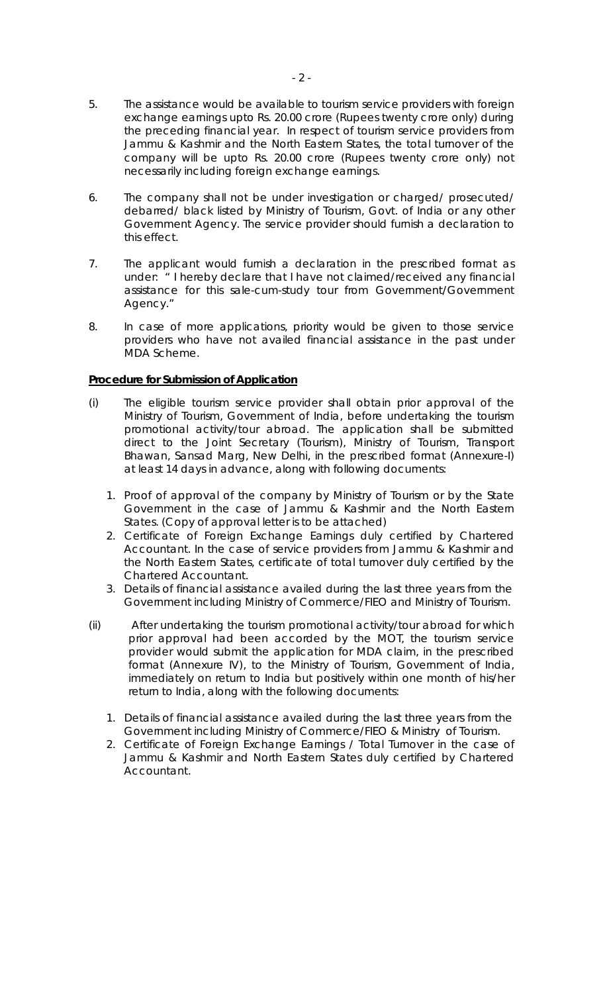- 5. The assistance would be available to tourism service providers with foreign exchange earnings upto Rs. 20.00 crore (Rupees twenty crore only) during the preceding financial year. In respect of tourism service providers from Jammu & Kashmir and the North Eastern States, the total turnover of the company will be upto Rs. 20.00 crore (Rupees twenty crore only) not necessarily including foreign exchange earnings.
- 6. The company shall not be under investigation or charged/ prosecuted/ debarred/ black listed by Ministry of Tourism, Govt. of India or any other Government Agency. The service provider should furnish a declaration to this effect.
- 7. The applicant would furnish a declaration in the prescribed format as under: " I hereby declare that I have not claimed/received any financial assistance for this sale-cum-study tour from Government/Government Agency."
- 8. In case of more applications, priority would be given to those service providers who have not availed financial assistance in the past under MDA Scheme.

## **Procedure for Submission of Application**

- (i) The eligible tourism service provider shall obtain prior approval of the Ministry of Tourism, Government of India, before undertaking the tourism promotional activity/tour abroad. The application shall be submitted direct to the Joint Secretary (Tourism), Ministry of Tourism, Transport Bhawan, Sansad Marg, New Delhi, in the prescribed format (Annexure-I) at least 14 days in advance, along with following documents:
	- 1. Proof of approval of the company by Ministry of Tourism or by the State Government in the case of Jammu & Kashmir and the North Eastern States. (Copy of approval letter is to be attached)
	- 2. Certificate of Foreign Exchange Earnings duly certified by Chartered Accountant. In the case of service providers from Jammu & Kashmir and the North Eastern States, certificate of total turnover duly certified by the Chartered Accountant.
	- 3. Details of financial assistance availed during the last three years from the Government including Ministry of Commerce/FIEO and Ministry of Tourism.
- (ii) After undertaking the tourism promotional activity/tour abroad for which prior approval had been accorded by the MOT, the tourism service provider would submit the application for MDA claim, in the prescribed format (Annexure IV), to the Ministry of Tourism, Government of India, immediately on return to India but positively within one month of his/her return to India, along with the following documents:
	- 1. Details of financial assistance availed during the last three years from the Government including Ministry of Commerce/FIEO & Ministry of Tourism.
	- 2. Certificate of Foreign Exchange Earnings / Total Turnover in the case of Jammu & Kashmir and North Eastern States duly certified by Chartered Accountant.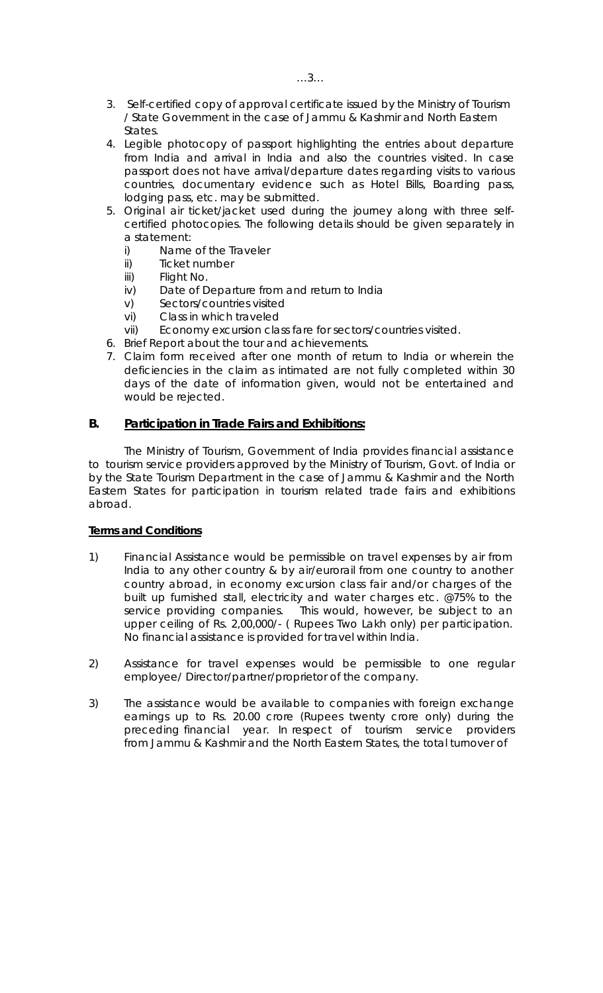- 3. Self-certified copy of approval certificate issued by the Ministry of Tourism / State Government in the case of Jammu & Kashmir and North Eastern States.
- 4. Legible photocopy of passport highlighting the entries about departure from India and arrival in India and also the countries visited. In case passport does not have arrival/departure dates regarding visits to various countries, documentary evidence such as Hotel Bills, Boarding pass, lodging pass, etc. may be submitted.
- 5. Original air ticket/jacket used during the journey along with three selfcertified photocopies. The following details should be given separately in a statement:
	- i) Name of the Traveler
	- ii) Ticket number
	- iii) Flight No.
	- iv) Date of Departure from and return to India
	- v) Sectors/countries visited
	- vi) Class in which traveled
	- vii) Economy excursion class fare for sectors/countries visited.
- 6. Brief Report about the tour and achievements.
- 7. Claim form received after one month of return to India or wherein the deficiencies in the claim as intimated are not fully completed within 30 days of the date of information given, would not be entertained and would be rejected.

## **B. Participation in Trade Fairs and Exhibitions:**

The Ministry of Tourism, Government of India provides financial assistance to tourism service providers approved by the Ministry of Tourism, Govt. of India or by the State Tourism Department in the case of Jammu & Kashmir and the North Eastern States for participation in tourism related trade fairs and exhibitions abroad.

## **Terms and Conditions**

- 1) Financial Assistance would be permissible on travel expenses by air from India to any other country & by air/eurorail from one country to another country abroad, in economy excursion class fair and/or charges of the built up furnished stall, electricity and water charges etc. @75% to the service providing companies. This would, however, be subject to an upper ceiling of Rs. 2,00,000/- ( Rupees Two Lakh only) per participation. No financial assistance is provided for travel within India.
- 2) Assistance for travel expenses would be permissible to one regular employee/ Director/partner/proprietor of the company.
- 3) The assistance would be available to companies with foreign exchange earnings up to Rs. 20.00 crore (Rupees twenty crore only) during the preceding financial year. In respect of tourism service providers from Jammu & Kashmir and the North Eastern States, the total turnover of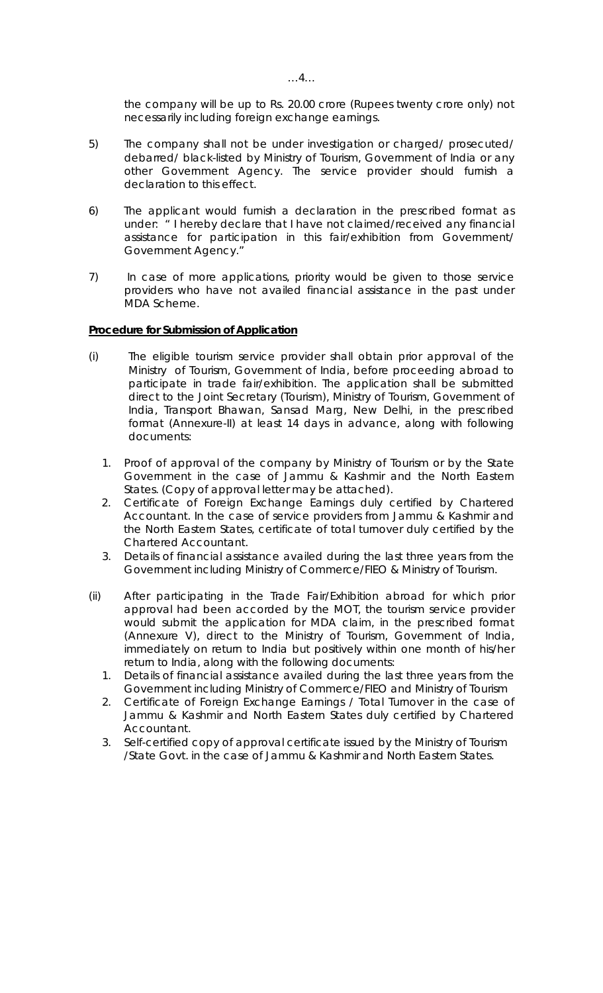the company will be up to Rs. 20.00 crore (Rupees twenty crore only) not necessarily including foreign exchange earnings.

- 5) The company shall not be under investigation or charged/ prosecuted/ debarred/ black-listed by Ministry of Tourism, Government of India or any other Government Agency. The service provider should furnish a declaration to this effect.
- 6) The applicant would furnish a declaration in the prescribed format as under: " I hereby declare that I have not claimed/received any financial assistance for participation in this fair/exhibition from Government/ Government Agency."
- 7) In case of more applications, priority would be given to those service providers who have not availed financial assistance in the past under MDA Scheme.

#### **Procedure for Submission of Application**

- (i) The eligible tourism service provider shall obtain prior approval of the Ministry of Tourism, Government of India, before proceeding abroad to participate in trade fair/exhibition. The application shall be submitted direct to the Joint Secretary (Tourism), Ministry of Tourism, Government of India, Transport Bhawan, Sansad Marg, New Delhi, in the prescribed format (Annexure-II) at least 14 days in advance, along with following documents:
	- 1. Proof of approval of the company by Ministry of Tourism or by the State Government in the case of Jammu & Kashmir and the North Eastern States. (Copy of approval letter may be attached).
	- 2. Certificate of Foreign Exchange Earnings duly certified by Chartered Accountant. In the case of service providers from Jammu & Kashmir and the North Eastern States, certificate of total turnover duly certified by the Chartered Accountant.
	- 3. Details of financial assistance availed during the last three years from the Government including Ministry of Commerce/FIEO & Ministry of Tourism.
- (ii) After participating in the Trade Fair/Exhibition abroad for which prior approval had been accorded by the MOT, the tourism service provider would submit the application for MDA claim, in the prescribed format (Annexure V), direct to the Ministry of Tourism, Government of India, immediately on return to India but positively within one month of his/her return to India, along with the following documents:
	- 1. Details of financial assistance availed during the last three years from the Government including Ministry of Commerce/FIEO and Ministry of Tourism
	- 2. Certificate of Foreign Exchange Earnings / Total Turnover in the case of Jammu & Kashmir and North Eastern States duly certified by Chartered Accountant.
	- 3. Self-certified copy of approval certificate issued by the Ministry of Tourism /State Govt. in the case of Jammu & Kashmir and North Eastern States.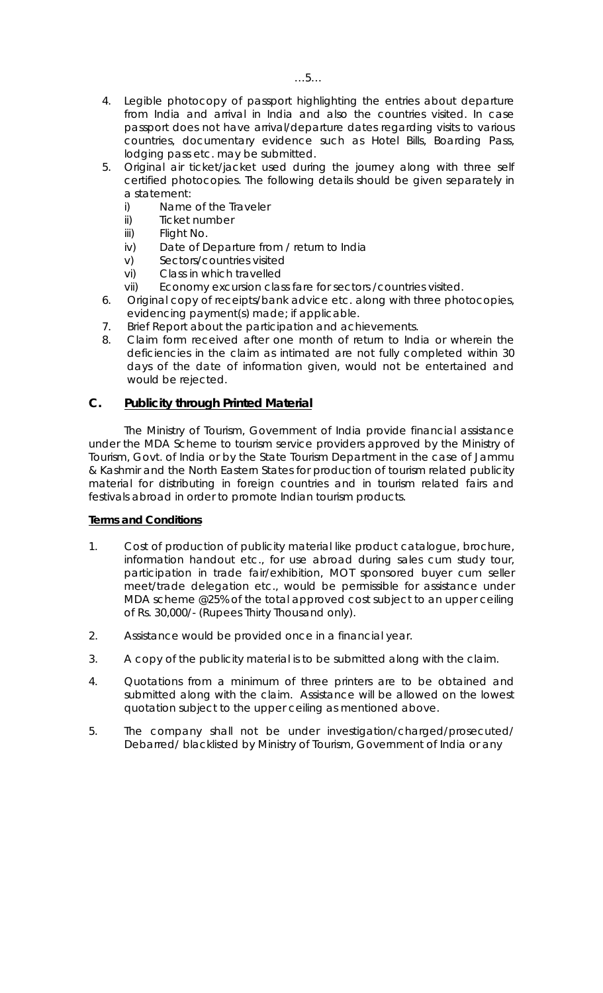- 4. Legible photocopy of passport highlighting the entries about departure from India and arrival in India and also the countries visited. In case passport does not have arrival/departure dates regarding visits to various countries, documentary evidence such as Hotel Bills, Boarding Pass, lodging pass etc. may be submitted.
- 5. Original air ticket/jacket used during the journey along with three self certified photocopies. The following details should be given separately in a statement:
	- i) Name of the Traveler
	- ii) Ticket number
	- iii) Flight No.
	- iv) Date of Departure from / return to India
	- v) Sectors/countries visited
	- vi) Class in which travelled
	- vii) Economy excursion class fare for sectors /countries visited.
- 6. Original copy of receipts/bank advice etc. along with three photocopies, evidencing payment(s) made; if applicable.
- 7. Brief Report about the participation and achievements.
- 8. Claim form received after one month of return to India or wherein the deficiencies in the claim as intimated are not fully completed within 30 days of the date of information given, would not be entertained and would be rejected.

## **C. Publicity through Printed Material**

The Ministry of Tourism, Government of India provide financial assistance under the MDA Scheme to tourism service providers approved by the Ministry of Tourism, Govt. of India or by the State Tourism Department in the case of Jammu & Kashmir and the North Eastern States for production of tourism related publicity material for distributing in foreign countries and in tourism related fairs and festivals abroad in order to promote Indian tourism products.

## **Terms and Conditions**

- 1. Cost of production of publicity material like product catalogue, brochure, information handout etc., for use abroad during sales cum study tour, participation in trade fair/exhibition, MOT sponsored buyer cum seller meet/trade delegation etc., would be permissible for assistance under MDA scheme @25% of the total approved cost subject to an upper ceiling of Rs. 30,000/- (Rupees Thirty Thousand only).
- 2. Assistance would be provided once in a financial year.
- 3. A copy of the publicity material is to be submitted along with the claim.
- 4. Quotations from a minimum of three printers are to be obtained and submitted along with the claim. Assistance will be allowed on the lowest quotation subject to the upper ceiling as mentioned above.
- 5. The company shall not be under investigation/charged/prosecuted/ Debarred/ blacklisted by Ministry of Tourism, Government of India or any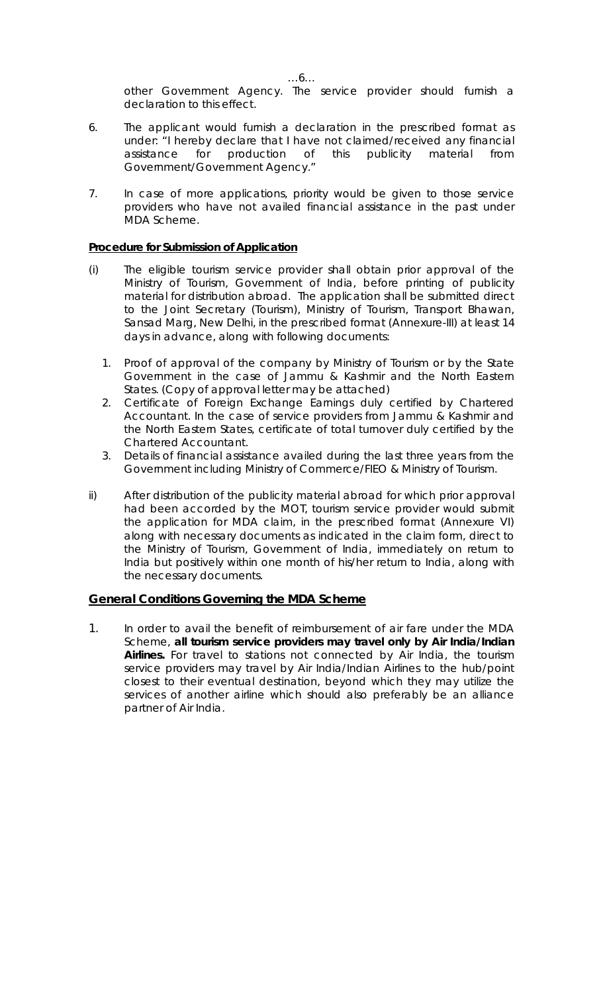other Government Agency. The service provider should furnish a declaration to this effect.

- 6. The applicant would furnish a declaration in the prescribed format as under: "I hereby declare that I have not claimed/received any financial assistance for production of this publicity material from Government/Government Agency."
- 7. In case of more applications, priority would be given to those service providers who have not availed financial assistance in the past under MDA Scheme.

# **Procedure for Submission of Application**

- (i) The eligible tourism service provider shall obtain prior approval of the Ministry of Tourism, Government of India, before printing of publicity material for distribution abroad. The application shall be submitted direct to the Joint Secretary (Tourism), Ministry of Tourism, Transport Bhawan, Sansad Marg, New Delhi, in the prescribed format (Annexure-III) at least 14 days in advance, along with following documents:
	- 1. Proof of approval of the company by Ministry of Tourism or by the State Government in the case of Jammu & Kashmir and the North Eastern States. (Copy of approval letter may be attached)
	- 2. Certificate of Foreign Exchange Earnings duly certified by Chartered Accountant. In the case of service providers from Jammu & Kashmir and the North Eastern States, certificate of total turnover duly certified by the Chartered Accountant.
	- 3. Details of financial assistance availed during the last three years from the Government including Ministry of Commerce/FIEO & Ministry of Tourism.
- ii) After distribution of the publicity material abroad for which prior approval had been accorded by the MOT, tourism service provider would submit the application for MDA claim, in the prescribed format (Annexure VI) along with necessary documents as indicated in the claim form, direct to the Ministry of Tourism, Government of India, immediately on return to India but positively within one month of his/her return to India, along with the necessary documents.

# **General Conditions Governing the MDA Scheme**

1. In order to avail the benefit of reimbursement of air fare under the MDA Scheme, **all tourism service providers may travel only by Air India/Indian Airlines.** For travel to stations not connected by Air India, the tourism service providers may travel by Air India/Indian Airlines to the hub/point closest to their eventual destination, beyond which they may utilize the services of another airline which should also preferably be an alliance partner of Air India.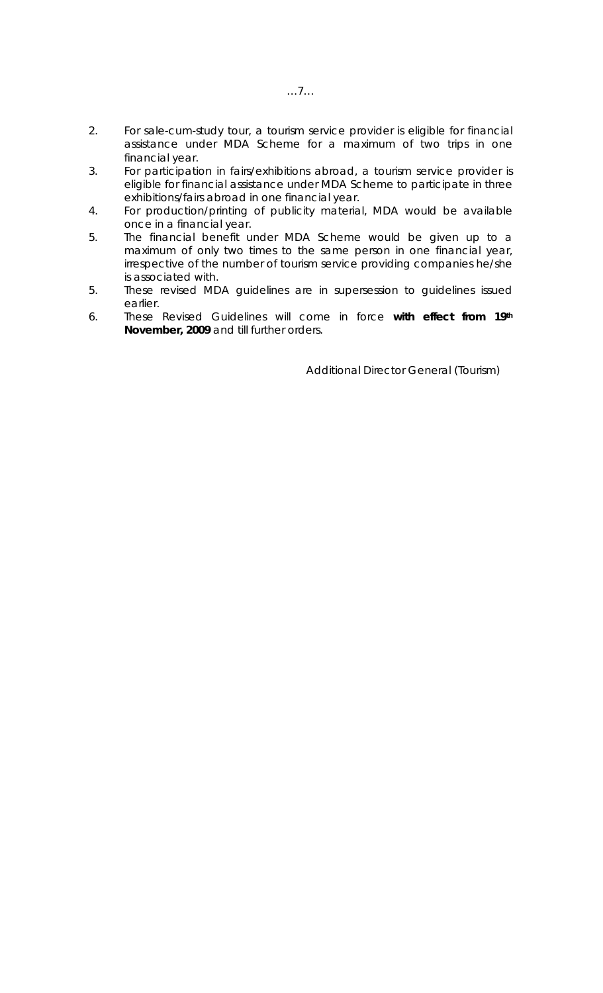- 2. For sale-cum-study tour, a tourism service provider is eligible for financial assistance under MDA Scheme for a maximum of two trips in one financial year.
- 3. For participation in fairs/exhibitions abroad, a tourism service provider is eligible for financial assistance under MDA Scheme to participate in three exhibitions/fairs abroad in one financial year.
- 4. For production/printing of publicity material, MDA would be available once in a financial year.
- 5. The financial benefit under MDA Scheme would be given up to a maximum of only two times to the same person in one financial year, irrespective of the number of tourism service providing companies he/she is associated with.
- 5. These revised MDA guidelines are in supersession to guidelines issued earlier.
- 6. These Revised Guidelines will come in force **with effect from 19th November, 2009** and till further orders.

Additional Director General (Tourism)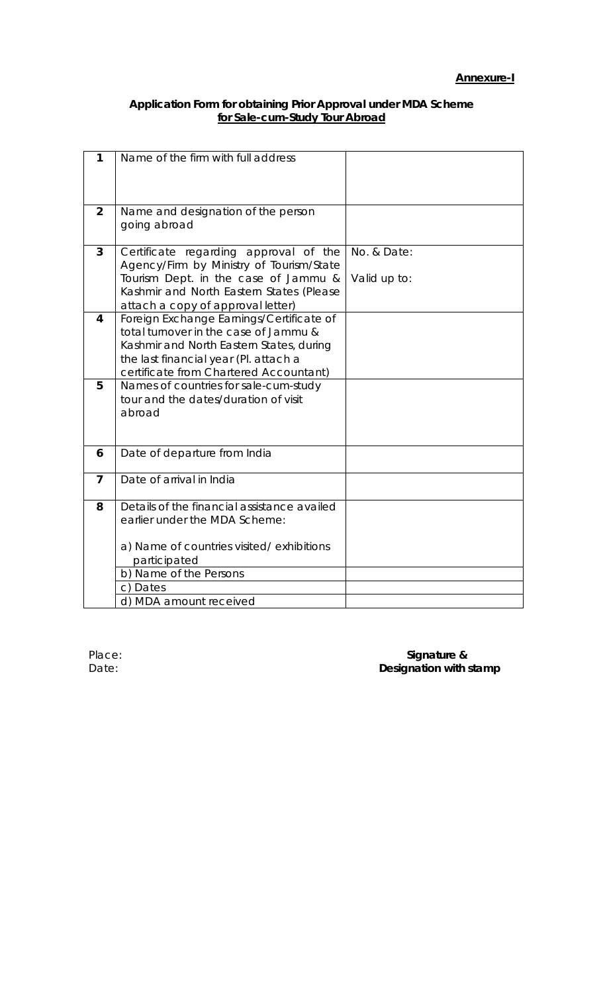## **Application Form for obtaining Prior Approval under MDA Scheme for Sale-cum-Study Tour Abroad**

| 1              | Name of the firm with full address                                                |              |
|----------------|-----------------------------------------------------------------------------------|--------------|
|                |                                                                                   |              |
|                |                                                                                   |              |
| $\overline{2}$ | Name and designation of the person                                                |              |
|                | going abroad                                                                      |              |
| $\overline{3}$ | Certificate regarding approval of the                                             | No. & Date:  |
|                | Agency/Firm by Ministry of Tourism/State                                          |              |
|                | Tourism Dept. in the case of Jammu &<br>Kashmir and North Eastern States (Please  | Valid up to: |
|                | attach a copy of approval letter)                                                 |              |
| 4              | Foreign Exchange Earnings/Certificate of                                          |              |
|                | total turnover in the case of Jammu &                                             |              |
|                | Kashmir and North Eastern States, during<br>the last financial year (Pl. attach a |              |
|                | certificate from Chartered Accountant)                                            |              |
| 5              | Names of countries for sale-cum-study                                             |              |
|                | tour and the dates/duration of visit                                              |              |
|                | abroad                                                                            |              |
|                |                                                                                   |              |
| 6              | Date of departure from India                                                      |              |
| $\overline{7}$ | Date of arrival in India                                                          |              |
|                |                                                                                   |              |
| 8              | Details of the financial assistance availed                                       |              |
|                | earlier under the MDA Scheme:                                                     |              |
|                | a) Name of countries visited/exhibitions                                          |              |
|                | participated                                                                      |              |
|                | b) Name of the Persons                                                            |              |
|                | c) Dates                                                                          |              |
|                | d) MDA amount received                                                            |              |

## Place: **Signature &** Date: **Date: Designation with stamp**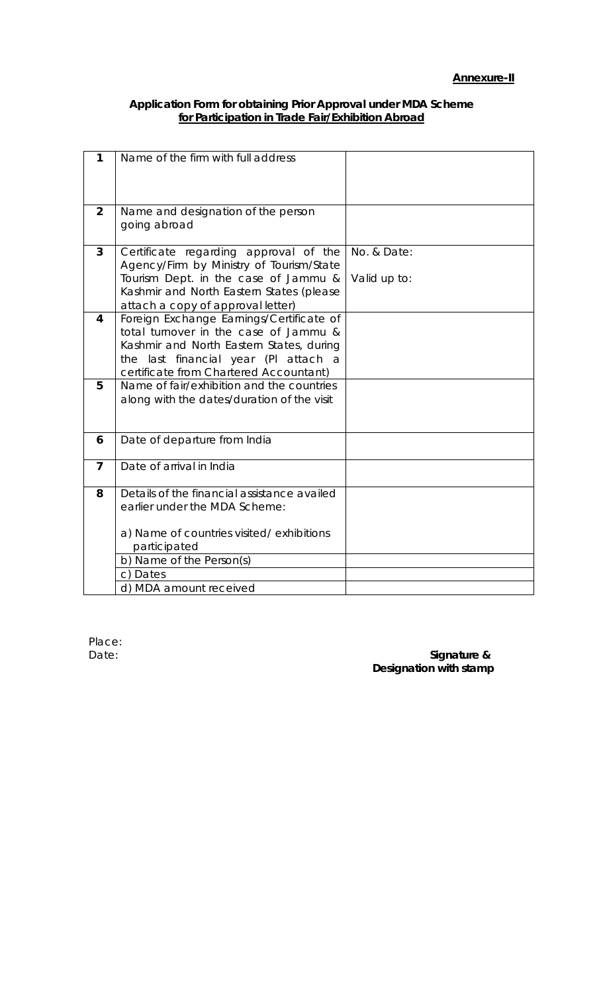#### **Application Form for obtaining Prior Approval under MDA Scheme for Participation in Trade Fair/Exhibition Abroad**

| 1              | Name of the firm with full address                                                  |              |
|----------------|-------------------------------------------------------------------------------------|--------------|
|                |                                                                                     |              |
|                |                                                                                     |              |
| $\overline{2}$ | Name and designation of the person                                                  |              |
|                | going abroad                                                                        |              |
| 3              | Certificate regarding approval of the                                               | No. & Date:  |
|                | Agency/Firm by Ministry of Tourism/State                                            |              |
|                | Tourism Dept. in the case of Jammu &                                                | Valid up to: |
|                | Kashmir and North Eastern States (please                                            |              |
| 4              | attach a copy of approval letter)<br>Foreign Exchange Earnings/Certificate of       |              |
|                | total turnover in the case of Jammu &                                               |              |
|                | Kashmir and North Eastern States, during                                            |              |
|                | the last financial year (PI attach<br>- a<br>certificate from Chartered Accountant) |              |
| 5              | Name of fair/exhibition and the countries                                           |              |
|                | along with the dates/duration of the visit                                          |              |
|                |                                                                                     |              |
| 6              | Date of departure from India                                                        |              |
|                |                                                                                     |              |
| 7              | Date of arrival in India                                                            |              |
| 8              | Details of the financial assistance availed                                         |              |
|                | earlier under the MDA Scheme:                                                       |              |
|                |                                                                                     |              |
|                | a) Name of countries visited/exhibitions<br>participated                            |              |
|                | b) Name of the Person(s)                                                            |              |
|                | c) Dates                                                                            |              |
|                | d) MDA amount received                                                              |              |

Place:

Date: **Signature & 2018 Designation** with stamp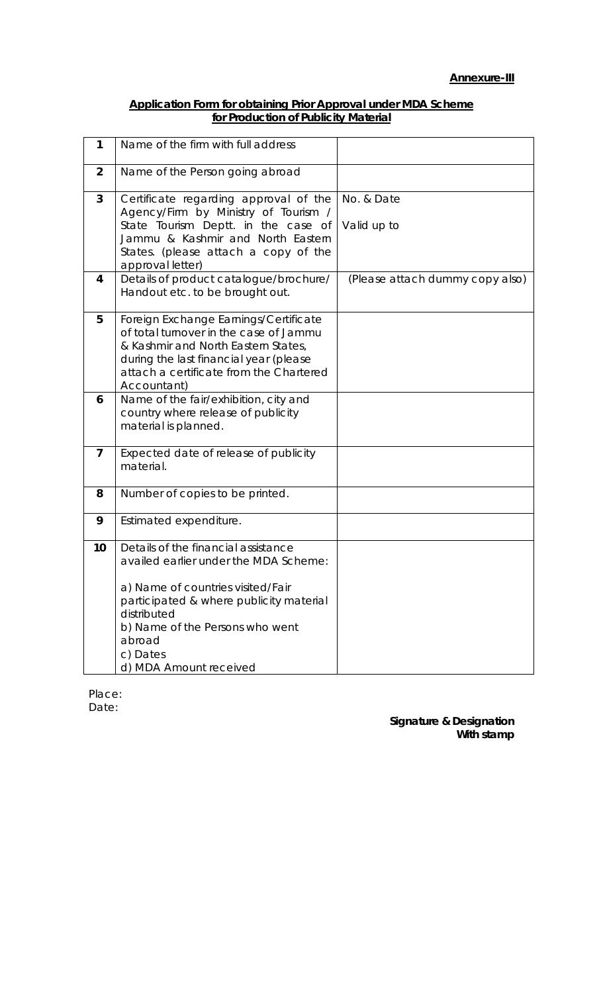## **Application Form for obtaining Prior Approval under MDA Scheme for Production of Publicity Material**

| 1              | Name of the firm with full address                                                                                                                                                                                                                             |                                 |
|----------------|----------------------------------------------------------------------------------------------------------------------------------------------------------------------------------------------------------------------------------------------------------------|---------------------------------|
| $\overline{2}$ | Name of the Person going abroad                                                                                                                                                                                                                                |                                 |
| 3              | Certificate regarding approval of the<br>Agency/Firm by Ministry of Tourism /<br>State Tourism Deptt. in the case of<br>Jammu & Kashmir and North Eastern<br>States. (please attach a copy of the<br>approval letter)                                          | No. & Date<br>Valid up to       |
| 4              | Details of product catalogue/brochure/<br>Handout etc. to be brought out.                                                                                                                                                                                      | (Please attach dummy copy also) |
| 5              | Foreign Exchange Earnings/Certificate<br>of total turnover in the case of Jammu<br>& Kashmir and North Eastern States,<br>during the last financial year (please<br>attach a certificate from the Chartered<br>Accountant)                                     |                                 |
| 6              | Name of the fair/exhibition, city and<br>country where release of publicity<br>material is planned.                                                                                                                                                            |                                 |
| 7              | Expected date of release of publicity<br>material.                                                                                                                                                                                                             |                                 |
| 8              | Number of copies to be printed.                                                                                                                                                                                                                                |                                 |
| 9              | Estimated expenditure.                                                                                                                                                                                                                                         |                                 |
| 10             | Details of the financial assistance<br>availed earlier under the MDA Scheme:<br>a) Name of countries visited/Fair<br>participated & where publicity material<br>distributed<br>b) Name of the Persons who went<br>abroad<br>c) Dates<br>d) MDA Amount received |                                 |

Place: Date:

> **Signature & Designation With stamp**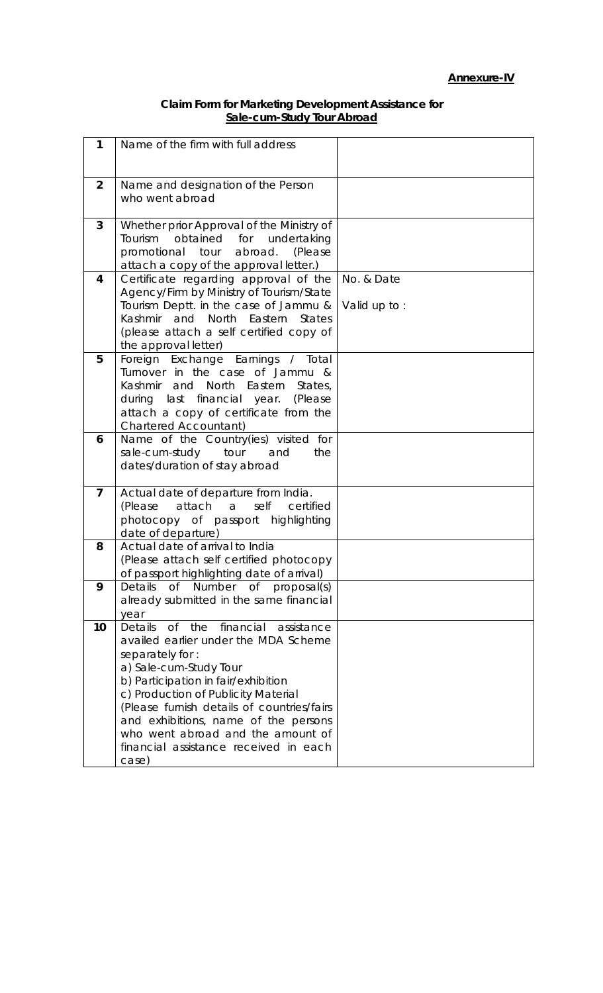## **Annexure-IV**

## **Claim Form for Marketing Development Assistance for Sale-cum-Study Tour Abroad**

| 1              | Name of the firm with full address                                                      |              |
|----------------|-----------------------------------------------------------------------------------------|--------------|
|                |                                                                                         |              |
|                |                                                                                         |              |
| $\overline{2}$ | Name and designation of the Person                                                      |              |
|                | who went abroad                                                                         |              |
| 3              | Whether prior Approval of the Ministry of                                               |              |
|                | Tourism<br>obtained for<br>undertaking                                                  |              |
|                | promotional tour abroad.<br>(Please                                                     |              |
|                | attach a copy of the approval letter.)                                                  |              |
| 4              | Certificate regarding approval of the                                                   | No. & Date   |
|                | Agency/Firm by Ministry of Tourism/State                                                |              |
|                | Tourism Deptt. in the case of Jammu &                                                   | Valid up to: |
|                | Kashmir and North Eastern States                                                        |              |
|                | (please attach a self certified copy of                                                 |              |
| 5              | the approval letter)<br>Foreign Exchange Earnings / Total                               |              |
|                | Turnover in the case of Jammu &                                                         |              |
|                | and North Eastern<br>Kashmir<br>States,                                                 |              |
|                | during last financial year.<br>(Please                                                  |              |
|                | attach a copy of certificate from the                                                   |              |
|                | <b>Chartered Accountant)</b>                                                            |              |
| 6              | Name of the Country(ies) visited for                                                    |              |
|                | sale-cum-study<br>tour<br>and<br>the<br>dates/duration of stay abroad                   |              |
|                |                                                                                         |              |
| $\overline{7}$ | Actual date of departure from India.                                                    |              |
|                | (Please<br>attach a<br>self<br>certified                                                |              |
|                | photocopy of passport highlighting                                                      |              |
|                | date of departure)                                                                      |              |
| 8              | Actual date of arrival to India                                                         |              |
|                | (Please attach self certified photocopy                                                 |              |
|                | of passport highlighting date of arrival)                                               |              |
| 9              | Details<br>Number<br>0f<br>Of<br>proposal(s)<br>already submitted in the same financial |              |
|                | year                                                                                    |              |
| 10             | financial<br>$\circ$ f<br>the<br>Details<br>assistance                                  |              |
|                | availed earlier under the MDA Scheme                                                    |              |
|                | separately for:                                                                         |              |
|                | a) Sale-cum-Study Tour                                                                  |              |
|                | b) Participation in fair/exhibition                                                     |              |
|                | c) Production of Publicity Material                                                     |              |
|                | (Please furnish details of countries/fairs                                              |              |
|                | and exhibitions, name of the persons<br>who went abroad and the amount of               |              |
|                | financial assistance received in each                                                   |              |
|                | case)                                                                                   |              |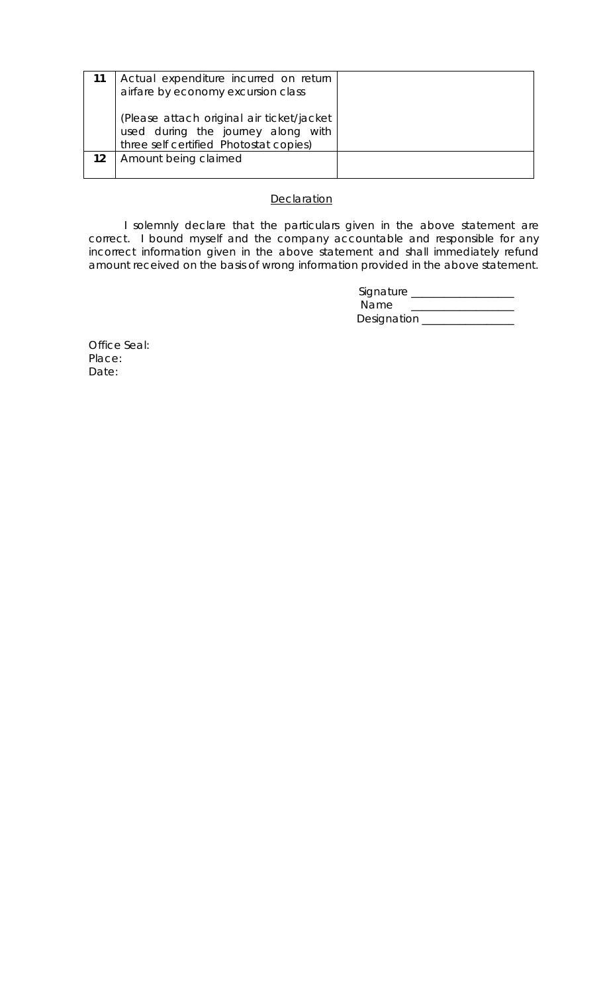|    | Actual expenditure incurred on return<br>airfare by economy excursion class                                               |  |
|----|---------------------------------------------------------------------------------------------------------------------------|--|
|    | (Please attach original air ticket/jacket<br>used during the journey along with<br>three self certified Photostat copies) |  |
| 12 | Amount being claimed                                                                                                      |  |

## **Declaration**

 I solemnly declare that the particulars given in the above statement are correct. I bound myself and the company accountable and responsible for any incorrect information given in the above statement and shall immediately refund amount received on the basis of wrong information provided in the above statement.

| Signature   |  |
|-------------|--|
| Name        |  |
| Designation |  |

Office Seal: Place: Date: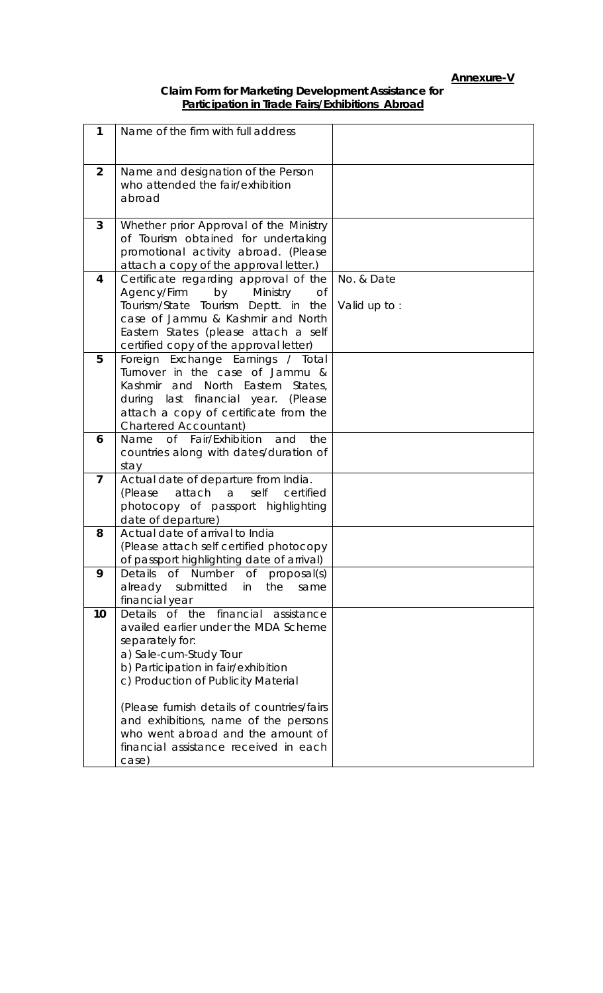# **Annexure-V**

## **Claim Form for Marketing Development Assistance for Participation in Trade Fairs/Exhibitions Abroad**

| 1              | Name of the firm with full address                                                                                                                                                                                                                                                                                                     |              |
|----------------|----------------------------------------------------------------------------------------------------------------------------------------------------------------------------------------------------------------------------------------------------------------------------------------------------------------------------------------|--------------|
|                |                                                                                                                                                                                                                                                                                                                                        |              |
| 2              | Name and designation of the Person                                                                                                                                                                                                                                                                                                     |              |
|                | who attended the fair/exhibition                                                                                                                                                                                                                                                                                                       |              |
|                | abroad                                                                                                                                                                                                                                                                                                                                 |              |
|                |                                                                                                                                                                                                                                                                                                                                        |              |
| 3              | Whether prior Approval of the Ministry<br>of Tourism obtained for undertaking                                                                                                                                                                                                                                                          |              |
|                | promotional activity abroad. (Please                                                                                                                                                                                                                                                                                                   |              |
|                | attach a copy of the approval letter.)                                                                                                                                                                                                                                                                                                 |              |
| 4              | Certificate regarding approval of the                                                                                                                                                                                                                                                                                                  | No. & Date   |
|                | Agency/Firm<br>by Ministry<br>Οf                                                                                                                                                                                                                                                                                                       |              |
|                | Tourism/State Tourism Deptt. in the<br>case of Jammu & Kashmir and North                                                                                                                                                                                                                                                               | Valid up to: |
|                | Eastern States (please attach a self                                                                                                                                                                                                                                                                                                   |              |
|                | certified copy of the approval letter)                                                                                                                                                                                                                                                                                                 |              |
| 5              | Foreign Exchange Earnings / Total                                                                                                                                                                                                                                                                                                      |              |
|                | Turnover in the case of Jammu &                                                                                                                                                                                                                                                                                                        |              |
|                | Kashmir and North Eastern States,<br>during last financial year. (Please                                                                                                                                                                                                                                                               |              |
|                | attach a copy of certificate from the                                                                                                                                                                                                                                                                                                  |              |
|                | <b>Chartered Accountant)</b>                                                                                                                                                                                                                                                                                                           |              |
| 6              | of Fair/Exhibition<br>the<br>Name<br>and                                                                                                                                                                                                                                                                                               |              |
|                | countries along with dates/duration of<br>stay                                                                                                                                                                                                                                                                                         |              |
| $\overline{7}$ | Actual date of departure from India.                                                                                                                                                                                                                                                                                                   |              |
|                | attach a<br>(Please<br>self<br>certified                                                                                                                                                                                                                                                                                               |              |
|                | photocopy of passport highlighting                                                                                                                                                                                                                                                                                                     |              |
|                | date of departure)                                                                                                                                                                                                                                                                                                                     |              |
| 8              | Actual date of arrival to India                                                                                                                                                                                                                                                                                                        |              |
|                |                                                                                                                                                                                                                                                                                                                                        |              |
| 9              | Details<br>Of<br>Number<br>0f<br>proposal(s)                                                                                                                                                                                                                                                                                           |              |
|                | submitted<br>the<br>in<br>same                                                                                                                                                                                                                                                                                                         |              |
|                |                                                                                                                                                                                                                                                                                                                                        |              |
|                |                                                                                                                                                                                                                                                                                                                                        |              |
|                | separately for:                                                                                                                                                                                                                                                                                                                        |              |
|                | a) Sale-cum-Study Tour                                                                                                                                                                                                                                                                                                                 |              |
|                |                                                                                                                                                                                                                                                                                                                                        |              |
|                |                                                                                                                                                                                                                                                                                                                                        |              |
|                | (Please furnish details of countries/fairs                                                                                                                                                                                                                                                                                             |              |
|                | and exhibitions, name of the persons                                                                                                                                                                                                                                                                                                   |              |
|                | who went abroad and the amount of                                                                                                                                                                                                                                                                                                      |              |
|                |                                                                                                                                                                                                                                                                                                                                        |              |
| 10             | (Please attach self certified photocopy<br>of passport highlighting date of arrival)<br>already<br>financial year<br>financial<br>Details of the<br>assistance<br>availed earlier under the MDA Scheme<br>b) Participation in fair/exhibition<br>c) Production of Publicity Material<br>financial assistance received in each<br>case) |              |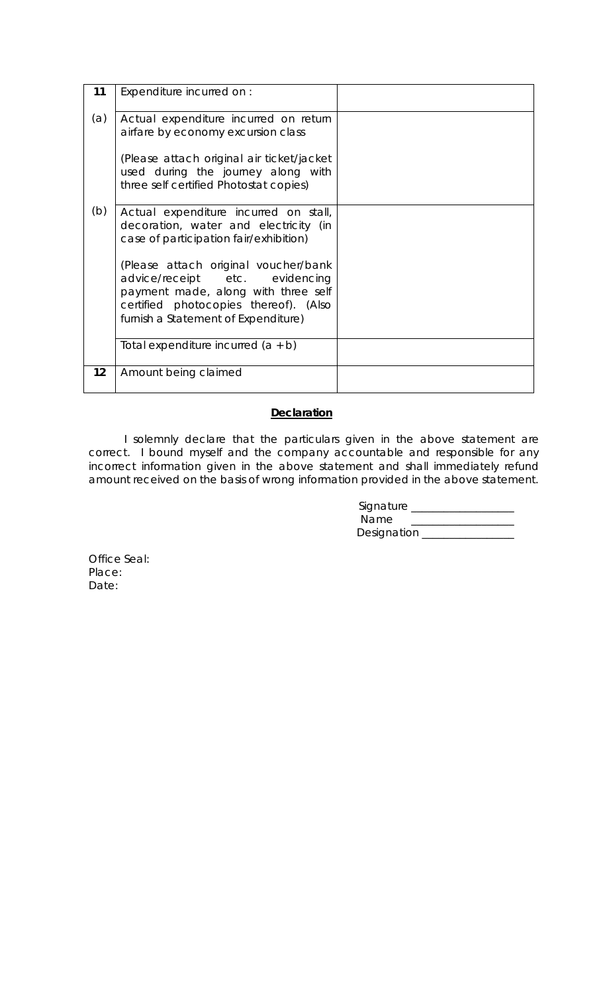| 11  | Expenditure incurred on :                                                                                                                                                                     |  |
|-----|-----------------------------------------------------------------------------------------------------------------------------------------------------------------------------------------------|--|
| (a) | Actual expenditure incurred on return<br>airfare by economy excursion class<br>(Please attach original air ticket/jacket                                                                      |  |
|     | used during the journey along with<br>three self certified Photostat copies)                                                                                                                  |  |
| (b) | Actual expenditure incurred on stall,<br>decoration, water and electricity (in<br>case of participation fair/exhibition)                                                                      |  |
|     | (Please attach original voucher/bank<br>advice/receipt etc. evidencing<br>payment made, along with three self<br>certified photocopies thereof). (Also<br>furnish a Statement of Expenditure) |  |
|     | Total expenditure incurred $(a + b)$                                                                                                                                                          |  |
| 12  | Amount being claimed                                                                                                                                                                          |  |

# **Declaration**

 I solemnly declare that the particulars given in the above statement are correct. I bound myself and the company accountable and responsible for any incorrect information given in the above statement and shall immediately refund amount received on the basis of wrong information provided in the above statement.

| Signature   |  |
|-------------|--|
| Name        |  |
| Designation |  |

Office Seal: Place: Date: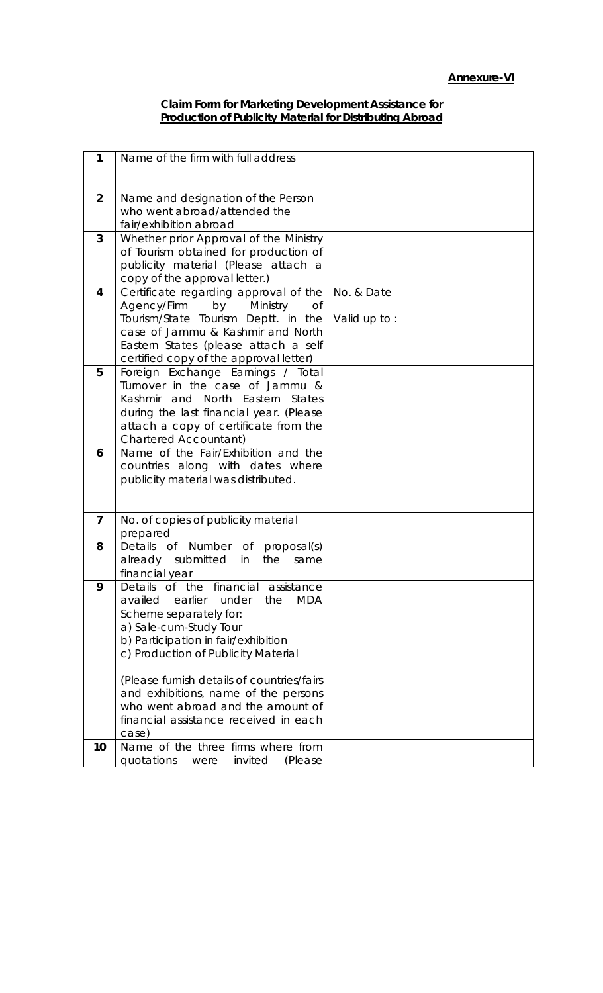#### **Claim Form for Marketing Development Assistance for Production of Publicity Material for Distributing Abroad**

| 1              | Name of the firm with full address               |              |
|----------------|--------------------------------------------------|--------------|
|                |                                                  |              |
| $\overline{2}$ | Name and designation of the Person               |              |
|                | who went abroad/attended the                     |              |
|                |                                                  |              |
|                | fair/exhibition abroad                           |              |
| 3              | Whether prior Approval of the Ministry           |              |
|                | of Tourism obtained for production of            |              |
|                |                                                  |              |
|                | publicity material (Please attach a              |              |
|                | copy of the approval letter.)                    |              |
| 4              | Certificate regarding approval of the            | No. & Date   |
|                | Agency/Firm<br>by Ministry<br>Of                 |              |
|                |                                                  |              |
|                | Tourism/State Tourism Deptt. in the              | Valid up to: |
|                | case of Jammu & Kashmir and North                |              |
|                | Eastern States (please attach a self             |              |
|                | certified copy of the approval letter)           |              |
| 5              |                                                  |              |
|                | Foreign Exchange Earnings / Total                |              |
|                | Turnover in the case of Jammu &                  |              |
|                | Kashmir and North Eastern States                 |              |
|                | during the last financial year. (Please          |              |
|                | attach a copy of certificate from the            |              |
|                |                                                  |              |
|                | <b>Chartered Accountant)</b>                     |              |
| 6              | Name of the Fair/Exhibition and the              |              |
|                | countries along with dates where                 |              |
|                | publicity material was distributed.              |              |
|                |                                                  |              |
|                |                                                  |              |
| $\overline{7}$ | No. of copies of publicity material              |              |
|                | prepared                                         |              |
| 8              | Details of Number of proposal(s)                 |              |
|                |                                                  |              |
|                | already submitted in<br>the<br>same              |              |
|                | financial year                                   |              |
| 9              | Details of the financial assistance              |              |
|                | <b>MDA</b><br>availed<br>earlier<br>under<br>the |              |
|                | Scheme separately for:                           |              |
|                |                                                  |              |
|                | a) Sale-cum-Study Tour                           |              |
|                | b) Participation in fair/exhibition              |              |
|                | c) Production of Publicity Material              |              |
|                |                                                  |              |
|                | (Please furnish details of countries/fairs       |              |
|                |                                                  |              |
|                | and exhibitions, name of the persons             |              |
|                | who went abroad and the amount of                |              |
|                | financial assistance received in each            |              |
|                | case)                                            |              |
| 10             | Name of the three firms where from               |              |
|                |                                                  |              |
|                | invited<br>quotations<br>(Please<br>were         |              |